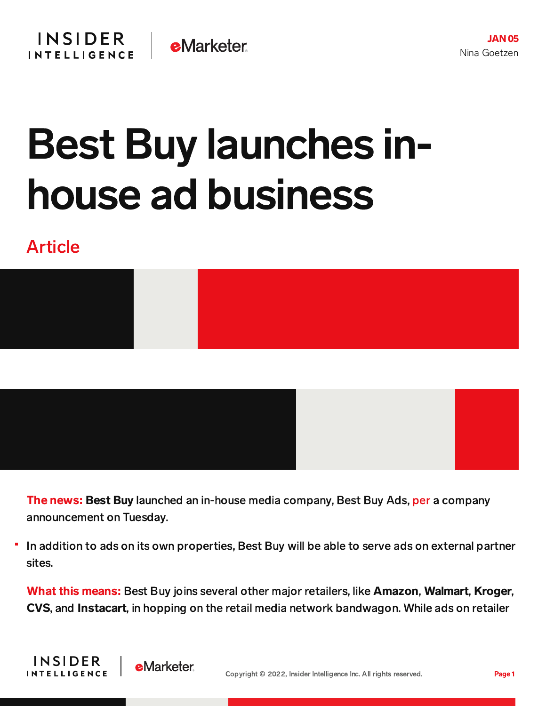## Best Buy launches inhouse ad business

## Article

**INSIDER** 

**INTELLIGENCE** 





The news: Best Buy launched an in-house media company, Best Buy Ads, [per](https://corporate.bestbuy.com/best-buy-launches-best-buy-ads/) a company announcement on Tuesday.

In addition to ads on its own properties, Best Buy will be able to serve ads on external partner sites.

What this means: Best Buy joins several other major retailers, like Amazon, Walmart, Kroger, CVS, and Instacart, in hopping on the retail media network bandwagon. While ads on retailer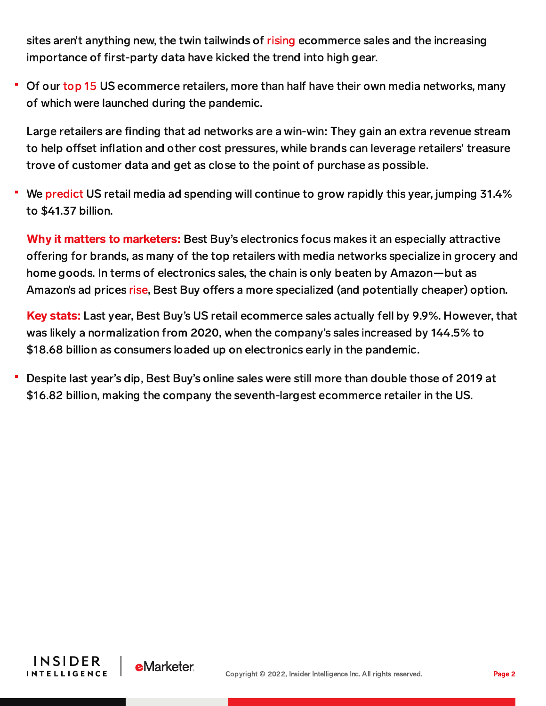sites aren't anything new, the twin tailwinds of [rising](https://chart-na1.emarketer.com/251186/us-retail-ecommerce-sales-2019-2025-billions-change-of-total-retail-sales) ecommerce sales and the increasing importance of first-party data have kicked the trend into high gear.

• Of our [top](https://forecasts-na1.emarketer.com/59d54f52bfce880068dd6697/59d53090bfce880068dd65ea) 15 US ecommerce retailers, more than half have their own media networks, many of which were launched during the pandemic.

Large retailers are finding that ad networks are a win-win: They gain an extra revenue stream to help offset inflation and other cost pressures, while brands can leverage retailers' treasure trove of customer data and get as close to the point of purchase as possible.

We [predict](https://forecasts-na1.emarketer.com/618c389c200dbd0e3cddcb6f/61708362200dbd0afca524c7) US retail media ad spending will continue to grow rapidly this year, jumping 31.4% to \$41.37 billion.

Why it matters to marketers: Best Buy's electronics focus makes it an especially attractive offering for brands, as many of the top retailers with media networks specialize in grocery and home goods. In terms of electronics sales, the chain is only beaten by Amazon—but as Amazon's ad prices [rise,](https://content-na1.emarketer.com/amazon-ad-prices-on-rise) Best Buy offers a more specialized (and potentially cheaper) option.

Key stats: Last year, Best Buy's US retail ecommerce sales actually fell by 9.9%. However, that was likely a normalization from 2020, when the company's sales increased by 144.5% to \$18.68 billion as consumers loaded up on electronics early in the pandemic.

Despite last year's dip, Best Buy's online sales were still more than double those of 2019 at \$16.82 billion, making the company the seventh-largest ecommerce retailer in the US.